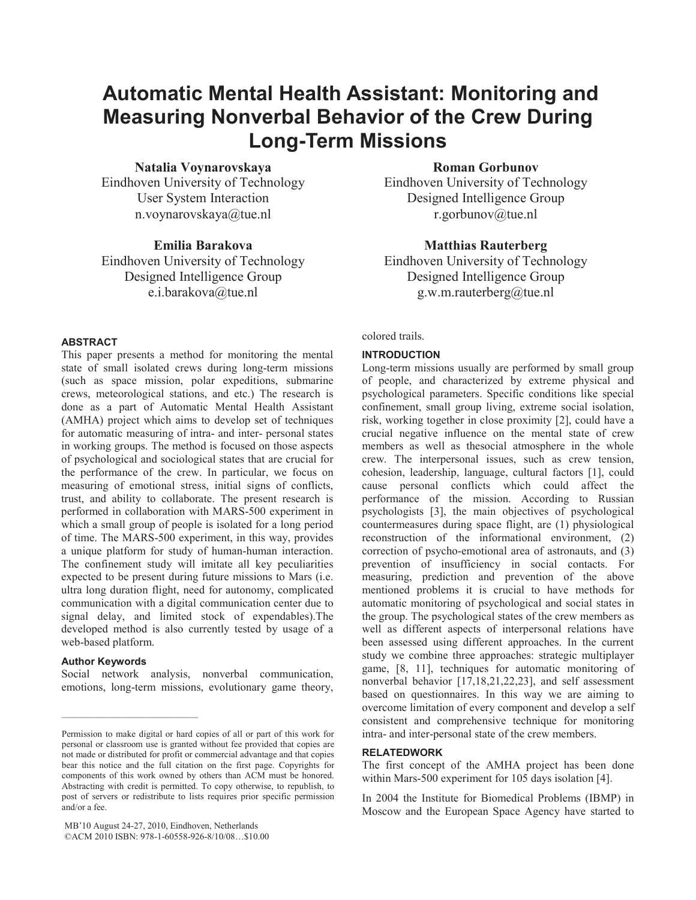# **Automatic Mental Health Assistant: Monitoring and Measuring Nonverbal Behavior of the Crew During Long-Term Missions**

# **Natalia Voynarovskaya**

Eindhoven University of Technology User System Interaction n.voynarovskaya@tue.nl

## **Emilia Barakova**

Eindhoven University of Technology Designed Intelligence Group e.i.barakova@tue.nl

#### **ABSTRACT**

This paper presents a method for monitoring the mental state of small isolated crews during long-term missions (such as space mission, polar expeditions, submarine crews, meteorological stations, and etc.) The research is done as a part of Automatic Mental Health Assistant (AMHA) project which aims to develop set of techniques for automatic measuring of intra- and inter- personal states in working groups. The method is focused on those aspects of psychological and sociological states that are crucial for the performance of the crew. In particular, we focus on measuring of emotional stress, initial signs of conflicts, trust, and ability to collaborate. The present research is performed in collaboration with MARS-500 experiment in which a small group of people is isolated for a long period of time. The MARS-500 experiment, in this way, provides a unique platform for study of human-human interaction. The confinement study will imitate all key peculiarities expected to be present during future missions to Mars (i.e. ultra long duration flight, need for autonomy, complicated communication with a digital communication center due to signal delay, and limited stock of expendables).The developed method is also currently tested by usage of a web-based platform.

#### **Author Keywords**

Social network analysis, nonverbal communication, emotions, long-term missions, evolutionary game theory,

# **Roman Gorbunov**

Eindhoven University of Technology Designed Intelligence Group r.gorbunov@tue.nl

### **Matthias Rauterberg**

Eindhoven University of Technology Designed Intelligence Group g.w.m.rauterberg@tue.nl

colored trails.

#### **INTRODUCTION**

Long-term missions usually are performed by small group of people, and characterized by extreme physical and psychological parameters. Specific conditions like special confinement, small group living, extreme social isolation, risk, working together in close proximity [2], could have a crucial negative influence on the mental state of crew members as well as thesocial atmosphere in the whole crew. The interpersonal issues, such as crew tension, cohesion, leadership, language, cultural factors [1], could cause personal conflicts which could affect the performance of the mission. According to Russian psychologists [3], the main objectives of psychological countermeasures during space flight, are (1) physiological reconstruction of the informational environment, (2) correction of psycho-emotional area of astronauts, and (3) prevention of insufficiency in social contacts. For measuring, prediction and prevention of the above mentioned problems it is crucial to have methods for automatic monitoring of psychological and social states in the group. The psychological states of the crew members as well as different aspects of interpersonal relations have been assessed using different approaches. In the current study we combine three approaches: strategic multiplayer game, [8, 11], techniques for automatic monitoring of nonverbal behavior [17,18,21,22,23], and self assessment based on questionnaires. In this way we are aiming to overcome limitation of every component and develop a self consistent and comprehensive technique for monitoring intra- and inter-personal state of the crew members.

## **RELATEDWORK**

The first concept of the AMHA project has been done within Mars-500 experiment for 105 days isolation [4].

In 2004 the Institute for Biomedical Problems (IBMP) in Moscow and the European Space Agency have started to

Permission to make digital or hard copies of all or part of this work for personal or classroom use is granted without fee provided that copies are not made or distributed for profit or commercial advantage and that copies bear this notice and the full citation on the first page. Copyrights for components of this work owned by others than ACM must be honored. Abstracting with credit is permitted. To copy otherwise, to republish, to post of servers or redistribute to lists requires prior specific permission and/or a fee.

MB'10 August 24-27, 2010, Eindhoven, Netherlands ©ACM 2010 ISBN: 978-1-60558-926-8/10/08…\$10.00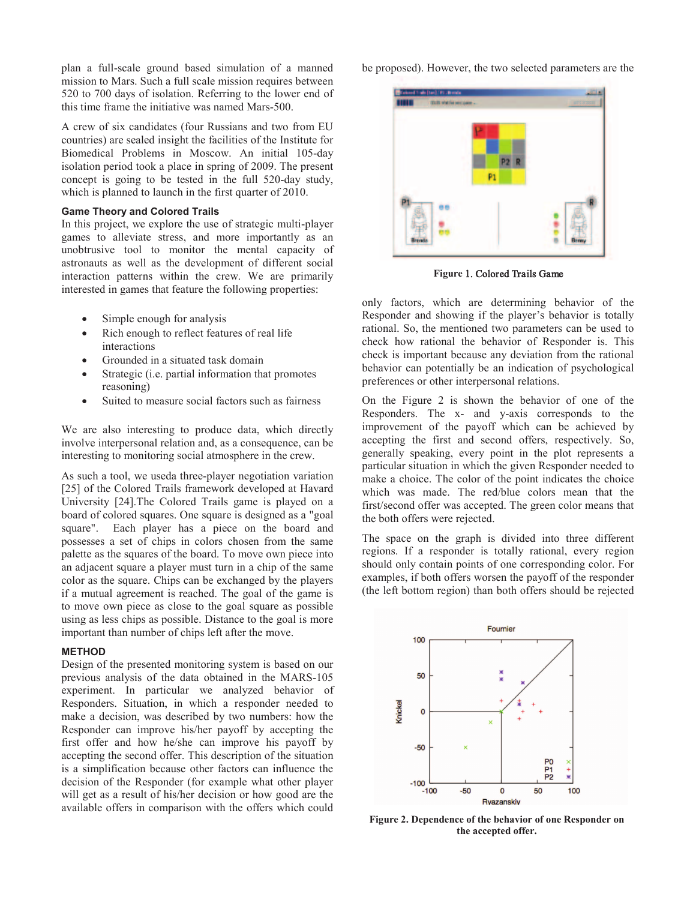plan a full-scale ground based simulation of a manned mission to Mars. Such a full scale mission requires between 520 to 700 days of isolation. Referring to the lower end of this time frame the initiative was named Mars-500.

A crew of six candidates (four Russians and two from EU countries) are sealed insight the facilities of the Institute for Biomedical Problems in Moscow. An initial 105-day isolation period took a place in spring of 2009. The present concept is going to be tested in the full 520-day study, which is planned to launch in the first quarter of 2010.

#### **Game Theory and Colored Trails**

In this project, we explore the use of strategic multi-player games to alleviate stress, and more importantly as an unobtrusive tool to monitor the mental capacity of astronauts as well as the development of different social interaction patterns within the crew. We are primarily interested in games that feature the following properties:

- Simple enough for analysis
- Rich enough to reflect features of real life interactions
- Grounded in a situated task domain
- Strategic (i.e. partial information that promotes reasoning)
- Suited to measure social factors such as fairness

We are also interesting to produce data, which directly involve interpersonal relation and, as a consequence, can be interesting to monitoring social atmosphere in the crew.

As such a tool, we useda three-player negotiation variation [25] of the Colored Trails framework developed at Havard University [24].The Colored Trails game is played on a board of colored squares. One square is designed as a "goal square". Each player has a piece on the board and possesses a set of chips in colors chosen from the same palette as the squares of the board. To move own piece into an adjacent square a player must turn in a chip of the same color as the square. Chips can be exchanged by the players if a mutual agreement is reached. The goal of the game is to move own piece as close to the goal square as possible using as less chips as possible. Distance to the goal is more important than number of chips left after the move.

#### **METHOD**

Design of the presented monitoring system is based on our previous analysis of the data obtained in the MARS-105 experiment. In particular we analyzed behavior of Responders. Situation, in which a responder needed to make a decision, was described by two numbers: how the Responder can improve his/her payoff by accepting the first offer and how he/she can improve his payoff by accepting the second offer. This description of the situation is a simplification because other factors can influence the decision of the Responder (for example what other player will get as a result of his/her decision or how good are the available offers in comparison with the offers which could

be proposed). However, the two selected parameters are the



**Figure** 1. Colored Trails Game

only factors, which are determining behavior of the Responder and showing if the player's behavior is totally rational. So, the mentioned two parameters can be used to check how rational the behavior of Responder is. This check is important because any deviation from the rational behavior can potentially be an indication of psychological preferences or other interpersonal relations.

On the Figure 2 is shown the behavior of one of the Responders. The x- and y-axis corresponds to the improvement of the payoff which can be achieved by accepting the first and second offers, respectively. So, generally speaking, every point in the plot represents a particular situation in which the given Responder needed to make a choice. The color of the point indicates the choice which was made. The red/blue colors mean that the first/second offer was accepted. The green color means that the both offers were rejected.

The space on the graph is divided into three different regions. If a responder is totally rational, every region should only contain points of one corresponding color. For examples, if both offers worsen the payoff of the responder (the left bottom region) than both offers should be rejected



**Figure 2. Dependence of the behavior of one Responder on the accepted offer.**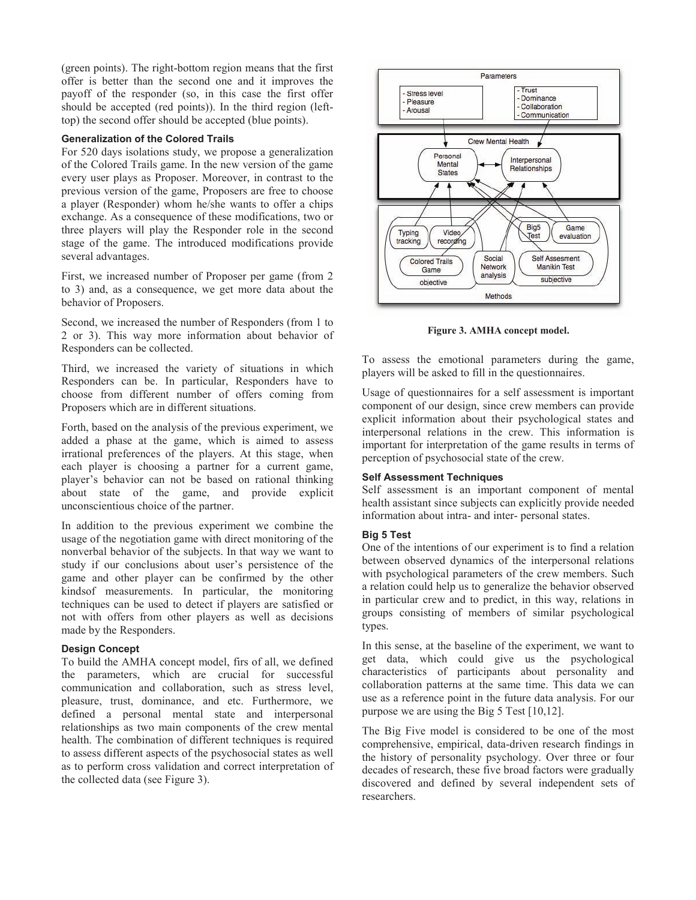(green points). The right-bottom region means that the first offer is better than the second one and it improves the payoff of the responder (so, in this case the first offer should be accepted (red points)). In the third region (lefttop) the second offer should be accepted (blue points).

#### **Generalization of the Colored Trails**

For 520 days isolations study, we propose a generalization of the Colored Trails game. In the new version of the game every user plays as Proposer. Moreover, in contrast to the previous version of the game, Proposers are free to choose a player (Responder) whom he/she wants to offer a chips exchange. As a consequence of these modifications, two or three players will play the Responder role in the second stage of the game. The introduced modifications provide several advantages.

First, we increased number of Proposer per game (from 2 to 3) and, as a consequence, we get more data about the behavior of Proposers.

Second, we increased the number of Responders (from 1 to 2 or 3). This way more information about behavior of Responders can be collected.

Third, we increased the variety of situations in which Responders can be. In particular, Responders have to choose from different number of offers coming from Proposers which are in different situations.

Forth, based on the analysis of the previous experiment, we added a phase at the game, which is aimed to assess irrational preferences of the players. At this stage, when each player is choosing a partner for a current game, player's behavior can not be based on rational thinking about state of the game, and provide explicit unconscientious choice of the partner.

In addition to the previous experiment we combine the usage of the negotiation game with direct monitoring of the nonverbal behavior of the subjects. In that way we want to study if our conclusions about user's persistence of the game and other player can be confirmed by the other kindsof measurements. In particular, the monitoring techniques can be used to detect if players are satisfied or not with offers from other players as well as decisions made by the Responders.

#### **Design Concept**

To build the AMHA concept model, firs of all, we defined the parameters, which are crucial for successful communication and collaboration, such as stress level, pleasure, trust, dominance, and etc. Furthermore, we defined a personal mental state and interpersonal relationships as two main components of the crew mental health. The combination of different techniques is required to assess different aspects of the psychosocial states as well as to perform cross validation and correct interpretation of the collected data (see Figure 3).



**Figure 3. AMHA concept model.** 

To assess the emotional parameters during the game, players will be asked to fill in the questionnaires.

Usage of questionnaires for a self assessment is important component of our design, since crew members can provide explicit information about their psychological states and interpersonal relations in the crew. This information is important for interpretation of the game results in terms of perception of psychosocial state of the crew.

#### **Self Assessment Techniques**

Self assessment is an important component of mental health assistant since subjects can explicitly provide needed information about intra- and inter- personal states.

#### **Big 5 Test**

One of the intentions of our experiment is to find a relation between observed dynamics of the interpersonal relations with psychological parameters of the crew members. Such a relation could help us to generalize the behavior observed in particular crew and to predict, in this way, relations in groups consisting of members of similar psychological types.

In this sense, at the baseline of the experiment, we want to get data, which could give us the psychological characteristics of participants about personality and collaboration patterns at the same time. This data we can use as a reference point in the future data analysis. For our purpose we are using the Big 5 Test [10,12].

The Big Five model is considered to be one of the most comprehensive, empirical, data-driven research findings in the history of personality psychology. Over three or four decades of research, these five broad factors were gradually discovered and defined by several independent sets of researchers.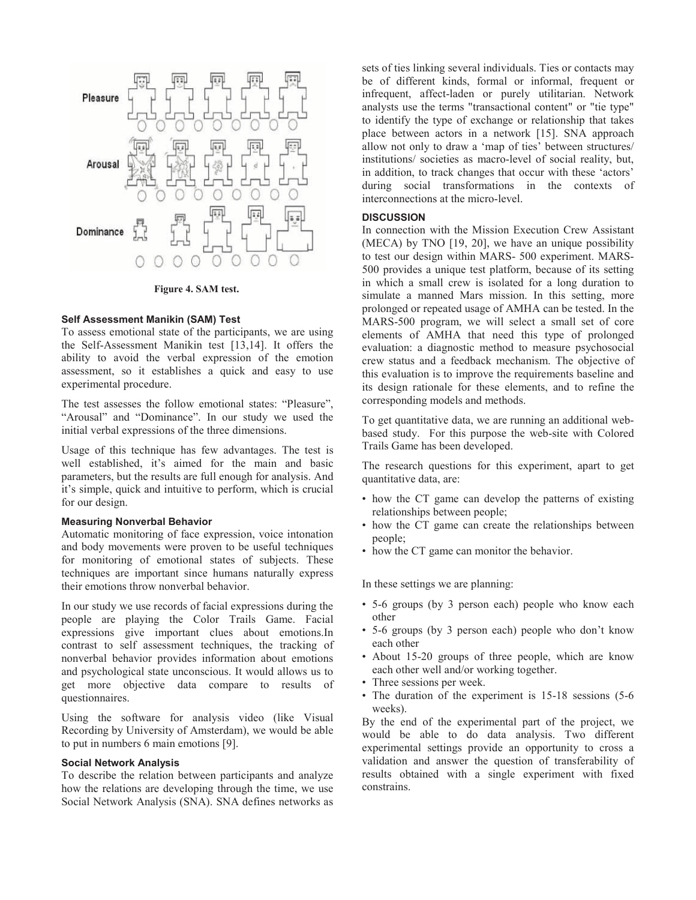

**Figure 4. SAM test.** 

#### **Self Assessment Manikin (SAM) Test**

To assess emotional state of the participants, we are using the Self-Assessment Manikin test [13,14]. It offers the ability to avoid the verbal expression of the emotion assessment, so it establishes a quick and easy to use experimental procedure.

The test assesses the follow emotional states: "Pleasure", "Arousal" and "Dominance". In our study we used the initial verbal expressions of the three dimensions.

Usage of this technique has few advantages. The test is well established, it's aimed for the main and basic parameters, but the results are full enough for analysis. And it's simple, quick and intuitive to perform, which is crucial for our design.

#### **Measuring Nonverbal Behavior**

Automatic monitoring of face expression, voice intonation and body movements were proven to be useful techniques for monitoring of emotional states of subjects. These techniques are important since humans naturally express their emotions throw nonverbal behavior.

In our study we use records of facial expressions during the people are playing the Color Trails Game. Facial expressions give important clues about emotions.In contrast to self assessment techniques, the tracking of nonverbal behavior provides information about emotions and psychological state unconscious. It would allows us to get more objective data compare to results of questionnaires.

Using the software for analysis video (like Visual Recording by University of Amsterdam), we would be able to put in numbers 6 main emotions [9].

#### **Social Network Analysis**

To describe the relation between participants and analyze how the relations are developing through the time, we use Social Network Analysis (SNA). SNA defines networks as sets of ties linking several individuals. Ties or contacts may be of different kinds, formal or informal, frequent or infrequent, affect-laden or purely utilitarian. Network analysts use the terms "transactional content" or "tie type" to identify the type of exchange or relationship that takes place between actors in a network [15]. SNA approach allow not only to draw a 'map of ties' between structures/ institutions/ societies as macro-level of social reality, but, in addition, to track changes that occur with these 'actors' during social transformations in the contexts of interconnections at the micro-level.

#### **DISCUSSION**

In connection with the Mission Execution Crew Assistant (MECA) by TNO [19, 20], we have an unique possibility to test our design within MARS- 500 experiment. MARS-500 provides a unique test platform, because of its setting in which a small crew is isolated for a long duration to simulate a manned Mars mission. In this setting, more prolonged or repeated usage of AMHA can be tested. In the MARS-500 program, we will select a small set of core elements of AMHA that need this type of prolonged evaluation: a diagnostic method to measure psychosocial crew status and a feedback mechanism. The objective of this evaluation is to improve the requirements baseline and its design rationale for these elements, and to refine the corresponding models and methods.

To get quantitative data, we are running an additional webbased study. For this purpose the web-site with Colored Trails Game has been developed.

The research questions for this experiment, apart to get quantitative data, are:

- how the CT game can develop the patterns of existing relationships between people;
- how the CT game can create the relationships between people;
- how the CT game can monitor the behavior.

In these settings we are planning:

- 5-6 groups (by 3 person each) people who know each other
- 5-6 groups (by 3 person each) people who don't know each other
- About 15-20 groups of three people, which are know each other well and/or working together.
- Three sessions per week.
- The duration of the experiment is 15-18 sessions (5-6) weeks).

By the end of the experimental part of the project, we would be able to do data analysis. Two different experimental settings provide an opportunity to cross a validation and answer the question of transferability of results obtained with a single experiment with fixed constrains.